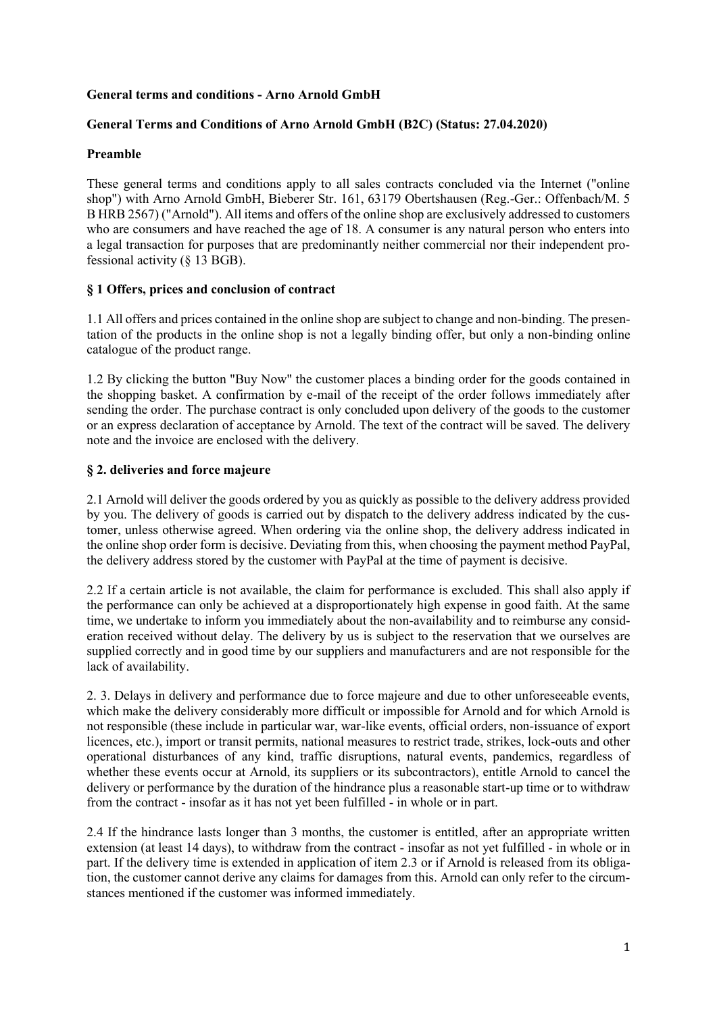# **General terms and conditions - Arno Arnold GmbH**

# **General Terms and Conditions of Arno Arnold GmbH (B2C) (Status: 27.04.2020)**

# **Preamble**

These general terms and conditions apply to all sales contracts concluded via the Internet ("online shop") with Arno Arnold GmbH, Bieberer Str. 161, 63179 Obertshausen (Reg.-Ger.: Offenbach/M. 5 B HRB 2567) ("Arnold"). All items and offers of the online shop are exclusively addressed to customers who are consumers and have reached the age of 18. A consumer is any natural person who enters into a legal transaction for purposes that are predominantly neither commercial nor their independent professional activity (§ 13 BGB).

# **§ 1 Offers, prices and conclusion of contract**

1.1 All offers and prices contained in the online shop are subject to change and non-binding. The presentation of the products in the online shop is not a legally binding offer, but only a non-binding online catalogue of the product range.

1.2 By clicking the button "Buy Now" the customer places a binding order for the goods contained in the shopping basket. A confirmation by e-mail of the receipt of the order follows immediately after sending the order. The purchase contract is only concluded upon delivery of the goods to the customer or an express declaration of acceptance by Arnold. The text of the contract will be saved. The delivery note and the invoice are enclosed with the delivery.

# **§ 2. deliveries and force majeure**

2.1 Arnold will deliver the goods ordered by you as quickly as possible to the delivery address provided by you. The delivery of goods is carried out by dispatch to the delivery address indicated by the customer, unless otherwise agreed. When ordering via the online shop, the delivery address indicated in the online shop order form is decisive. Deviating from this, when choosing the payment method PayPal, the delivery address stored by the customer with PayPal at the time of payment is decisive.

2.2 If a certain article is not available, the claim for performance is excluded. This shall also apply if the performance can only be achieved at a disproportionately high expense in good faith. At the same time, we undertake to inform you immediately about the non-availability and to reimburse any consideration received without delay. The delivery by us is subject to the reservation that we ourselves are supplied correctly and in good time by our suppliers and manufacturers and are not responsible for the lack of availability.

2. 3. Delays in delivery and performance due to force majeure and due to other unforeseeable events, which make the delivery considerably more difficult or impossible for Arnold and for which Arnold is not responsible (these include in particular war, war-like events, official orders, non-issuance of export licences, etc.), import or transit permits, national measures to restrict trade, strikes, lock-outs and other operational disturbances of any kind, traffic disruptions, natural events, pandemics, regardless of whether these events occur at Arnold, its suppliers or its subcontractors), entitle Arnold to cancel the delivery or performance by the duration of the hindrance plus a reasonable start-up time or to withdraw from the contract - insofar as it has not yet been fulfilled - in whole or in part.

2.4 If the hindrance lasts longer than 3 months, the customer is entitled, after an appropriate written extension (at least 14 days), to withdraw from the contract - insofar as not yet fulfilled - in whole or in part. If the delivery time is extended in application of item 2.3 or if Arnold is released from its obligation, the customer cannot derive any claims for damages from this. Arnold can only refer to the circumstances mentioned if the customer was informed immediately.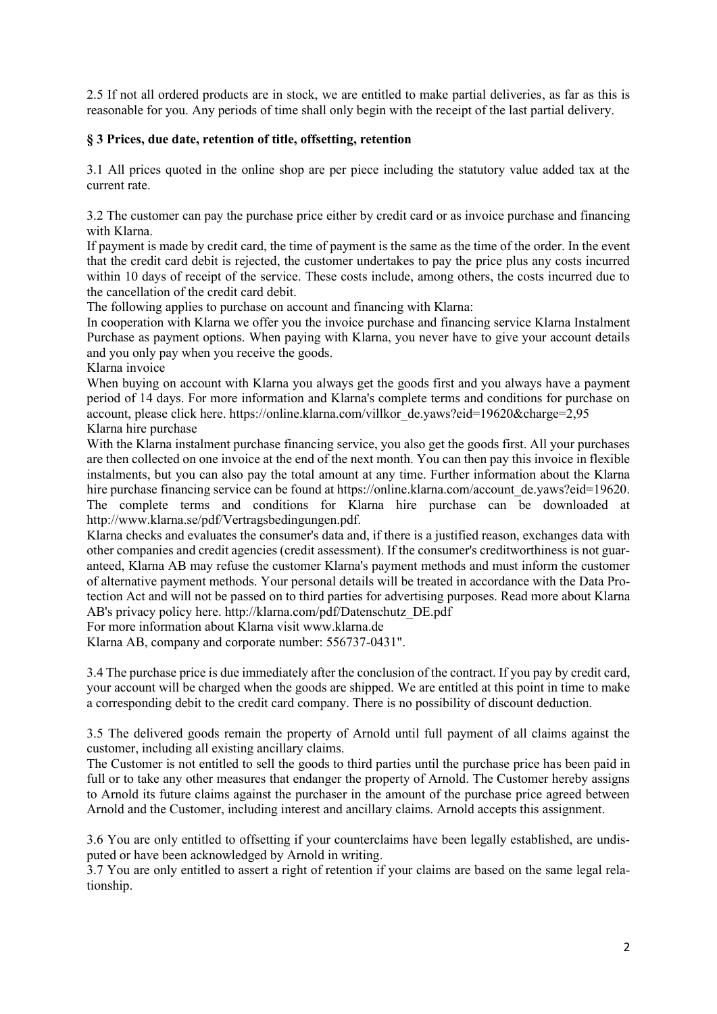2.5 If not all ordered products are in stock, we are entitled to make partial deliveries, as far as this is reasonable for you. Any periods of time shall only begin with the receipt of the last partial delivery.

# **§ 3 Prices, due date, retention of title, offsetting, retention**

3.1 All prices quoted in the online shop are per piece including the statutory value added tax at the current rate.

3.2 The customer can pay the purchase price either by credit card or as invoice purchase and financing with Klarna.

If payment is made by credit card, the time of payment is the same as the time of the order. In the event that the credit card debit is rejected, the customer undertakes to pay the price plus any costs incurred within 10 days of receipt of the service. These costs include, among others, the costs incurred due to the cancellation of the credit card debit.

The following applies to purchase on account and financing with Klarna:

In cooperation with Klarna we offer you the invoice purchase and financing service Klarna Instalment Purchase as payment options. When paying with Klarna, you never have to give your account details and you only pay when you receive the goods.

Klarna invoice

When buying on account with Klarna you always get the goods first and you always have a payment period of 14 days. For more information and Klarna's complete terms and conditions for purchase on account, please click here. https://online.klarna.com/villkor\_de.yaws?eid=19620&charge=2,95 Klarna hire purchase

With the Klarna instalment purchase financing service, you also get the goods first. All your purchases are then collected on one invoice at the end of the next month. You can then pay this invoice in flexible instalments, but you can also pay the total amount at any time. Further information about the Klarna hire purchase financing service can be found at https://online.klarna.com/account\_de.yaws?eid=19620. The complete terms and conditions for Klarna hire purchase can be downloaded at http://www.klarna.se/pdf/Vertragsbedingungen.pdf.

Klarna checks and evaluates the consumer's data and, if there is a justified reason, exchanges data with other companies and credit agencies (credit assessment). If the consumer's creditworthiness is not guaranteed, Klarna AB may refuse the customer Klarna's payment methods and must inform the customer of alternative payment methods. Your personal details will be treated in accordance with the Data Protection Act and will not be passed on to third parties for advertising purposes. Read more about Klarna AB's privacy policy here. http://klarna.com/pdf/Datenschutz\_DE.pdf

For more information about Klarna visit www.klarna.de

Klarna AB, company and corporate number: 556737-0431".

3.4 The purchase price is due immediately after the conclusion of the contract. If you pay by credit card, your account will be charged when the goods are shipped. We are entitled at this point in time to make a corresponding debit to the credit card company. There is no possibility of discount deduction.

3.5 The delivered goods remain the property of Arnold until full payment of all claims against the customer, including all existing ancillary claims.

The Customer is not entitled to sell the goods to third parties until the purchase price has been paid in full or to take any other measures that endanger the property of Arnold. The Customer hereby assigns to Arnold its future claims against the purchaser in the amount of the purchase price agreed between Arnold and the Customer, including interest and ancillary claims. Arnold accepts this assignment.

3.6 You are only entitled to offsetting if your counterclaims have been legally established, are undisputed or have been acknowledged by Arnold in writing.

3.7 You are only entitled to assert a right of retention if your claims are based on the same legal relationship.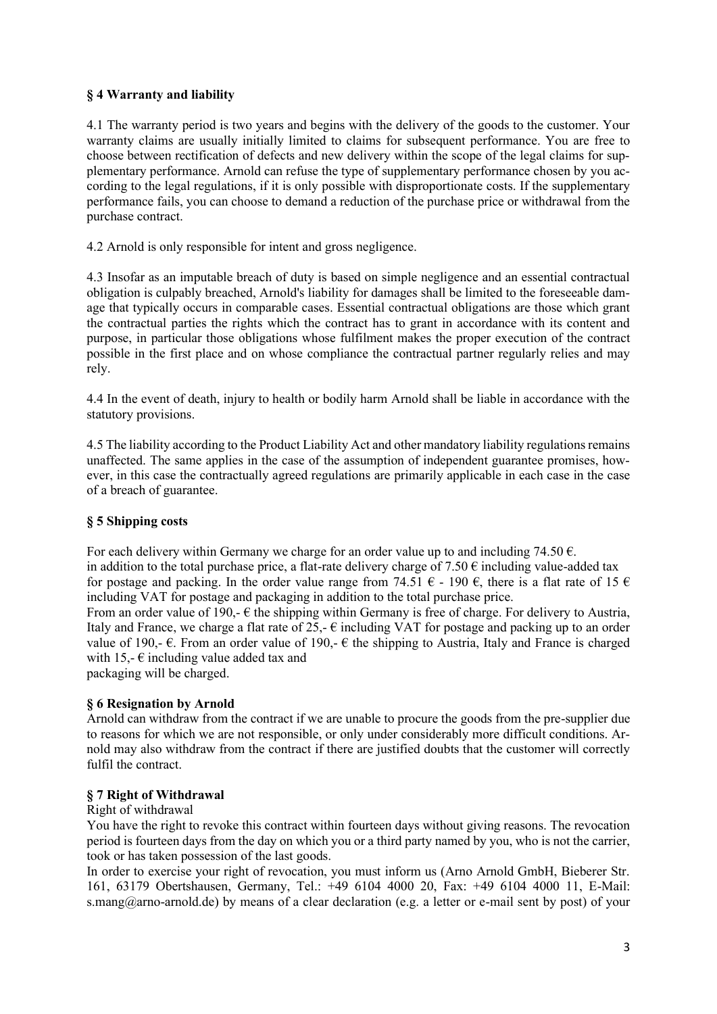# **§ 4 Warranty and liability**

4.1 The warranty period is two years and begins with the delivery of the goods to the customer. Your warranty claims are usually initially limited to claims for subsequent performance. You are free to choose between rectification of defects and new delivery within the scope of the legal claims for supplementary performance. Arnold can refuse the type of supplementary performance chosen by you according to the legal regulations, if it is only possible with disproportionate costs. If the supplementary performance fails, you can choose to demand a reduction of the purchase price or withdrawal from the purchase contract.

4.2 Arnold is only responsible for intent and gross negligence.

4.3 Insofar as an imputable breach of duty is based on simple negligence and an essential contractual obligation is culpably breached, Arnold's liability for damages shall be limited to the foreseeable damage that typically occurs in comparable cases. Essential contractual obligations are those which grant the contractual parties the rights which the contract has to grant in accordance with its content and purpose, in particular those obligations whose fulfilment makes the proper execution of the contract possible in the first place and on whose compliance the contractual partner regularly relies and may rely.

4.4 In the event of death, injury to health or bodily harm Arnold shall be liable in accordance with the statutory provisions.

4.5 The liability according to the Product Liability Act and other mandatory liability regulations remains unaffected. The same applies in the case of the assumption of independent guarantee promises, however, in this case the contractually agreed regulations are primarily applicable in each case in the case of a breach of guarantee.

# **§ 5 Shipping costs**

For each delivery within Germany we charge for an order value up to and including 74.50  $\epsilon$ . in addition to the total purchase price, a flat-rate delivery charge of  $7.50 \text{ } \in$  including value-added tax for postage and packing. In the order value range from 74.51  $\epsilon$  - 190  $\epsilon$ , there is a flat rate of 15  $\epsilon$ including VAT for postage and packaging in addition to the total purchase price.

From an order value of 190,-  $\epsilon$  the shipping within Germany is free of charge. For delivery to Austria, Italy and France, we charge a flat rate of  $25$ ,-  $\epsilon$  including VAT for postage and packing up to an order value of 190,-  $\epsilon$ . From an order value of 190,-  $\epsilon$  the shipping to Austria, Italy and France is charged with 15,- $\epsilon$  including value added tax and packaging will be charged.

# **§ 6 Resignation by Arnold**

Arnold can withdraw from the contract if we are unable to procure the goods from the pre-supplier due to reasons for which we are not responsible, or only under considerably more difficult conditions. Arnold may also withdraw from the contract if there are justified doubts that the customer will correctly fulfil the contract.

#### **§ 7 Right of Withdrawal**

#### Right of withdrawal

You have the right to revoke this contract within fourteen days without giving reasons. The revocation period is fourteen days from the day on which you or a third party named by you, who is not the carrier, took or has taken possession of the last goods.

In order to exercise your right of revocation, you must inform us (Arno Arnold GmbH, Bieberer Str. 161, 63179 Obertshausen, Germany, Tel.: +49 6104 4000 20, Fax: +49 6104 4000 11, E-Mail: s.mang@arno-arnold.de) by means of a clear declaration (e.g. a letter or e-mail sent by post) of your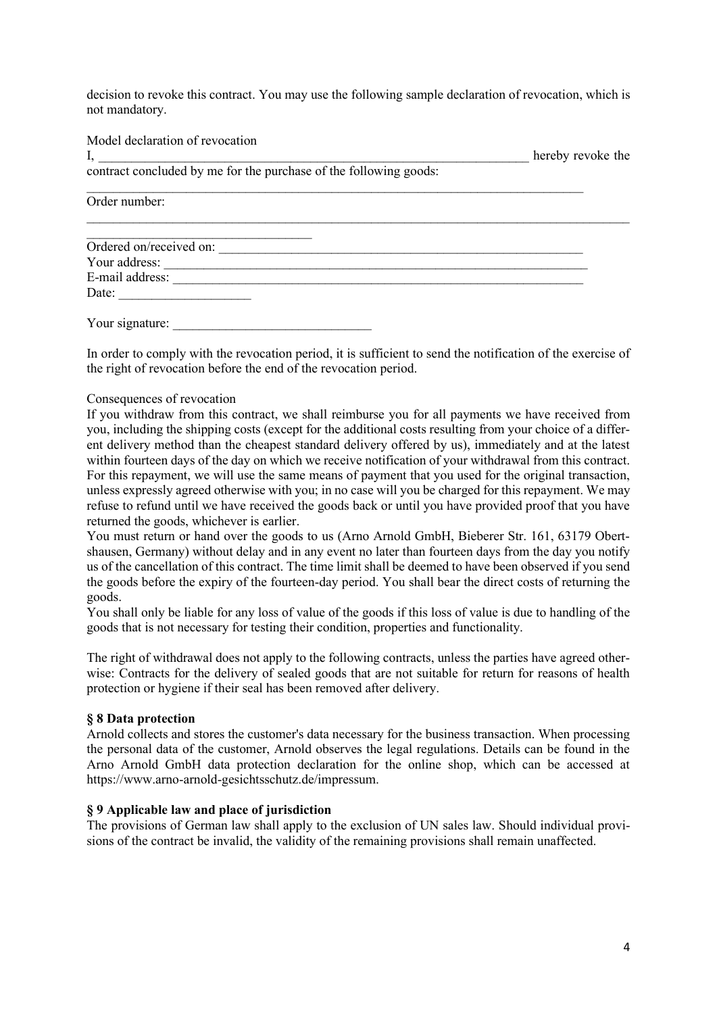decision to revoke this contract. You may use the following sample declaration of revocation, which is not mandatory.

Model declaration of revocation I, thereby revoke the contract concluded by me for the purchase of the following goods:  $\mathcal{L}_\text{max} = \frac{1}{2} \sum_{i=1}^n \mathcal{L}_\text{max} = \frac{1}{2} \sum_{i=1}^n \mathcal{L}_\text{max} = \frac{1}{2} \sum_{i=1}^n \mathcal{L}_\text{max} = \frac{1}{2} \sum_{i=1}^n \mathcal{L}_\text{max} = \frac{1}{2} \sum_{i=1}^n \mathcal{L}_\text{max} = \frac{1}{2} \sum_{i=1}^n \mathcal{L}_\text{max} = \frac{1}{2} \sum_{i=1}^n \mathcal{L}_\text{max} = \frac{1}{2} \sum_{i=$ Order number:  $\_$  , and the set of the set of the set of the set of the set of the set of the set of the set of the set of the set of the set of the set of the set of the set of the set of the set of the set of the set of the set of th  $\mathcal{L}_\text{max}$ Ordered on/received on: \_\_\_\_\_\_\_\_\_\_\_\_\_\_\_\_\_\_\_\_\_\_\_\_\_\_\_\_\_\_\_\_\_\_\_\_\_\_\_\_\_\_\_\_\_\_\_\_\_\_\_\_\_\_\_ Your address: E-mail address: \_\_\_\_\_\_\_\_\_\_\_\_\_\_\_\_\_\_\_\_\_\_\_\_\_\_\_\_\_\_\_\_\_\_\_\_\_\_\_\_\_\_\_\_\_\_\_\_\_\_\_\_\_\_\_\_\_\_\_\_\_\_ Date:

Your signature: \_\_\_\_\_\_\_\_\_\_\_\_\_\_\_\_\_\_\_\_\_\_\_\_\_\_\_\_\_\_

In order to comply with the revocation period, it is sufficient to send the notification of the exercise of the right of revocation before the end of the revocation period.

#### Consequences of revocation

If you withdraw from this contract, we shall reimburse you for all payments we have received from you, including the shipping costs (except for the additional costs resulting from your choice of a different delivery method than the cheapest standard delivery offered by us), immediately and at the latest within fourteen days of the day on which we receive notification of your withdrawal from this contract. For this repayment, we will use the same means of payment that you used for the original transaction, unless expressly agreed otherwise with you; in no case will you be charged for this repayment. We may refuse to refund until we have received the goods back or until you have provided proof that you have returned the goods, whichever is earlier.

You must return or hand over the goods to us (Arno Arnold GmbH, Bieberer Str. 161, 63179 Obertshausen, Germany) without delay and in any event no later than fourteen days from the day you notify us of the cancellation of this contract. The time limit shall be deemed to have been observed if you send the goods before the expiry of the fourteen-day period. You shall bear the direct costs of returning the goods.

You shall only be liable for any loss of value of the goods if this loss of value is due to handling of the goods that is not necessary for testing their condition, properties and functionality.

The right of withdrawal does not apply to the following contracts, unless the parties have agreed otherwise: Contracts for the delivery of sealed goods that are not suitable for return for reasons of health protection or hygiene if their seal has been removed after delivery.

#### **§ 8 Data protection**

Arnold collects and stores the customer's data necessary for the business transaction. When processing the personal data of the customer, Arnold observes the legal regulations. Details can be found in the Arno Arnold GmbH data protection declaration for the online shop, which can be accessed at https://www.arno-arnold-gesichtsschutz.de/impressum.

# **§ 9 Applicable law and place of jurisdiction**

The provisions of German law shall apply to the exclusion of UN sales law. Should individual provisions of the contract be invalid, the validity of the remaining provisions shall remain unaffected.